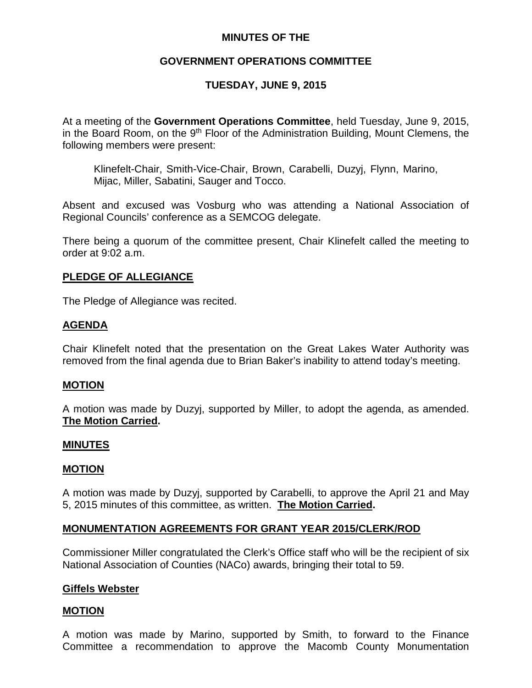## **MINUTES OF THE**

## **GOVERNMENT OPERATIONS COMMITTEE**

## **TUESDAY, JUNE 9, 2015**

At a meeting of the **Government Operations Committee**, held Tuesday, June 9, 2015, in the Board Room, on the  $9<sup>th</sup>$  Floor of the Administration Building, Mount Clemens, the following members were present:

Klinefelt-Chair, Smith-Vice-Chair, Brown, Carabelli, Duzyj, Flynn, Marino, Mijac, Miller, Sabatini, Sauger and Tocco.

Absent and excused was Vosburg who was attending a National Association of Regional Councils' conference as a SEMCOG delegate.

There being a quorum of the committee present, Chair Klinefelt called the meeting to order at 9:02 a.m.

#### **PLEDGE OF ALLEGIANCE**

The Pledge of Allegiance was recited.

## **AGENDA**

Chair Klinefelt noted that the presentation on the Great Lakes Water Authority was removed from the final agenda due to Brian Baker's inability to attend today's meeting.

#### **MOTION**

A motion was made by Duzyj, supported by Miller, to adopt the agenda, as amended. **The Motion Carried.**

#### **MINUTES**

#### **MOTION**

A motion was made by Duzyj, supported by Carabelli, to approve the April 21 and May 5, 2015 minutes of this committee, as written. **The Motion Carried.**

#### **MONUMENTATION AGREEMENTS FOR GRANT YEAR 2015/CLERK/ROD**

Commissioner Miller congratulated the Clerk's Office staff who will be the recipient of six National Association of Counties (NACo) awards, bringing their total to 59.

#### **Giffels Webster**

#### **MOTION**

A motion was made by Marino, supported by Smith, to forward to the Finance Committee a recommendation to approve the Macomb County Monumentation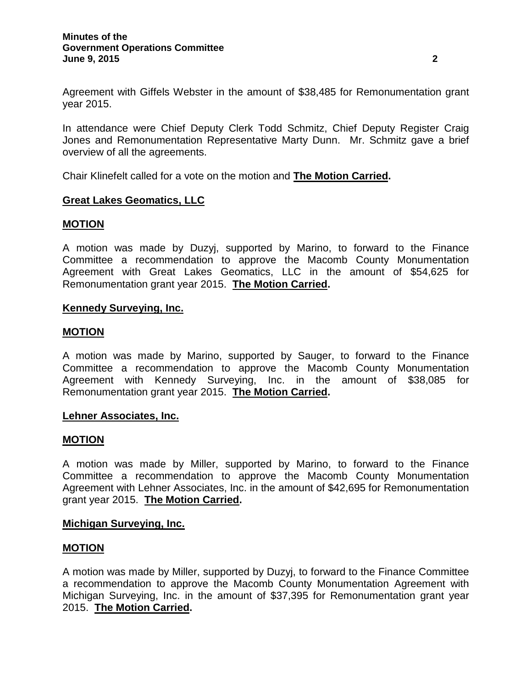Agreement with Giffels Webster in the amount of \$38,485 for Remonumentation grant year 2015.

In attendance were Chief Deputy Clerk Todd Schmitz, Chief Deputy Register Craig Jones and Remonumentation Representative Marty Dunn. Mr. Schmitz gave a brief overview of all the agreements.

Chair Klinefelt called for a vote on the motion and **The Motion Carried.**

## **Great Lakes Geomatics, LLC**

#### **MOTION**

A motion was made by Duzyj, supported by Marino, to forward to the Finance Committee a recommendation to approve the Macomb County Monumentation Agreement with Great Lakes Geomatics, LLC in the amount of \$54,625 for Remonumentation grant year 2015. **The Motion Carried.**

#### **Kennedy Surveying, Inc.**

#### **MOTION**

A motion was made by Marino, supported by Sauger, to forward to the Finance Committee a recommendation to approve the Macomb County Monumentation Agreement with Kennedy Surveying, Inc. in the amount of \$38,085 for Remonumentation grant year 2015. **The Motion Carried.**

#### **Lehner Associates, Inc.**

#### **MOTION**

A motion was made by Miller, supported by Marino, to forward to the Finance Committee a recommendation to approve the Macomb County Monumentation Agreement with Lehner Associates, Inc. in the amount of \$42,695 for Remonumentation grant year 2015. **The Motion Carried.**

#### **Michigan Surveying, Inc.**

#### **MOTION**

A motion was made by Miller, supported by Duzyj, to forward to the Finance Committee a recommendation to approve the Macomb County Monumentation Agreement with Michigan Surveying, Inc. in the amount of \$37,395 for Remonumentation grant year 2015. **The Motion Carried.**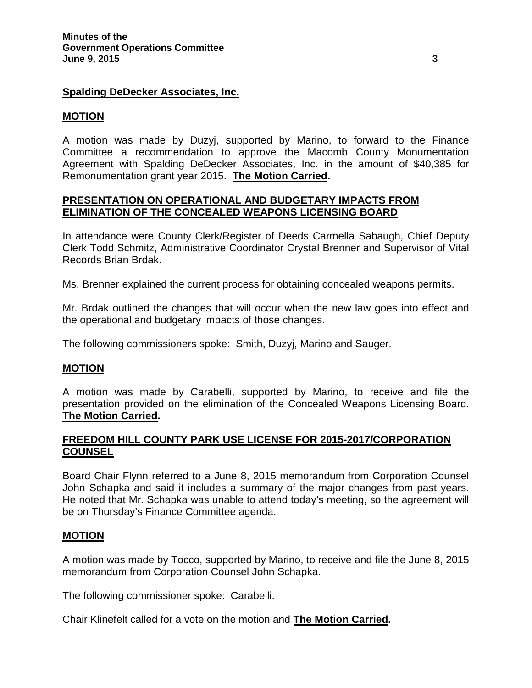#### **Spalding DeDecker Associates, Inc.**

#### **MOTION**

A motion was made by Duzyj, supported by Marino, to forward to the Finance Committee a recommendation to approve the Macomb County Monumentation Agreement with Spalding DeDecker Associates, Inc. in the amount of \$40,385 for Remonumentation grant year 2015. **The Motion Carried.**

## **PRESENTATION ON OPERATIONAL AND BUDGETARY IMPACTS FROM ELIMINATION OF THE CONCEALED WEAPONS LICENSING BOARD**

In attendance were County Clerk/Register of Deeds Carmella Sabaugh, Chief Deputy Clerk Todd Schmitz, Administrative Coordinator Crystal Brenner and Supervisor of Vital Records Brian Brdak.

Ms. Brenner explained the current process for obtaining concealed weapons permits.

Mr. Brdak outlined the changes that will occur when the new law goes into effect and the operational and budgetary impacts of those changes.

The following commissioners spoke: Smith, Duzyj, Marino and Sauger.

#### **MOTION**

A motion was made by Carabelli, supported by Marino, to receive and file the presentation provided on the elimination of the Concealed Weapons Licensing Board. **The Motion Carried.**

## **FREEDOM HILL COUNTY PARK USE LICENSE FOR 2015-2017/CORPORATION COUNSEL**

Board Chair Flynn referred to a June 8, 2015 memorandum from Corporation Counsel John Schapka and said it includes a summary of the major changes from past years. He noted that Mr. Schapka was unable to attend today's meeting, so the agreement will be on Thursday's Finance Committee agenda.

#### **MOTION**

A motion was made by Tocco, supported by Marino, to receive and file the June 8, 2015 memorandum from Corporation Counsel John Schapka.

The following commissioner spoke: Carabelli.

Chair Klinefelt called for a vote on the motion and **The Motion Carried.**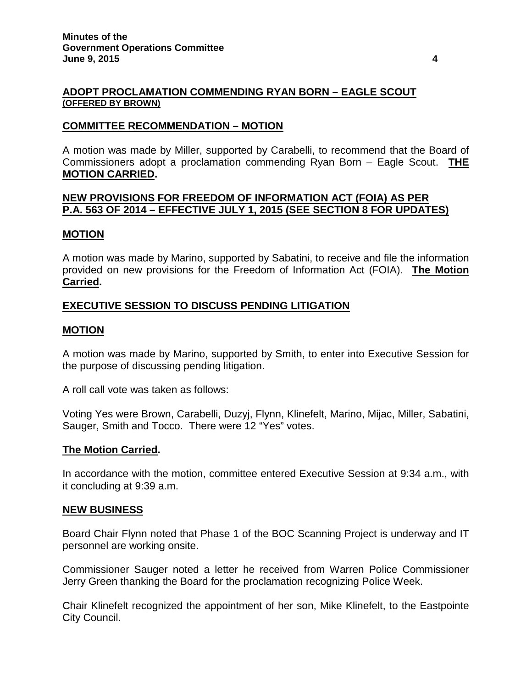#### **ADOPT PROCLAMATION COMMENDING RYAN BORN – EAGLE SCOUT (OFFERED BY BROWN)**

#### **COMMITTEE RECOMMENDATION – MOTION**

A motion was made by Miller, supported by Carabelli, to recommend that the Board of Commissioners adopt a proclamation commending Ryan Born – Eagle Scout. **THE MOTION CARRIED.**

## **NEW PROVISIONS FOR FREEDOM OF INFORMATION ACT (FOIA) AS PER P.A. 563 OF 2014 – EFFECTIVE JULY 1, 2015 (SEE SECTION 8 FOR UPDATES)**

#### **MOTION**

A motion was made by Marino, supported by Sabatini, to receive and file the information provided on new provisions for the Freedom of Information Act (FOIA). **The Motion Carried.**

## **EXECUTIVE SESSION TO DISCUSS PENDING LITIGATION**

#### **MOTION**

A motion was made by Marino, supported by Smith, to enter into Executive Session for the purpose of discussing pending litigation.

A roll call vote was taken as follows:

Voting Yes were Brown, Carabelli, Duzyj, Flynn, Klinefelt, Marino, Mijac, Miller, Sabatini, Sauger, Smith and Tocco. There were 12 "Yes" votes.

#### **The Motion Carried.**

In accordance with the motion, committee entered Executive Session at 9:34 a.m., with it concluding at 9:39 a.m.

#### **NEW BUSINESS**

Board Chair Flynn noted that Phase 1 of the BOC Scanning Project is underway and IT personnel are working onsite.

Commissioner Sauger noted a letter he received from Warren Police Commissioner Jerry Green thanking the Board for the proclamation recognizing Police Week.

Chair Klinefelt recognized the appointment of her son, Mike Klinefelt, to the Eastpointe City Council.